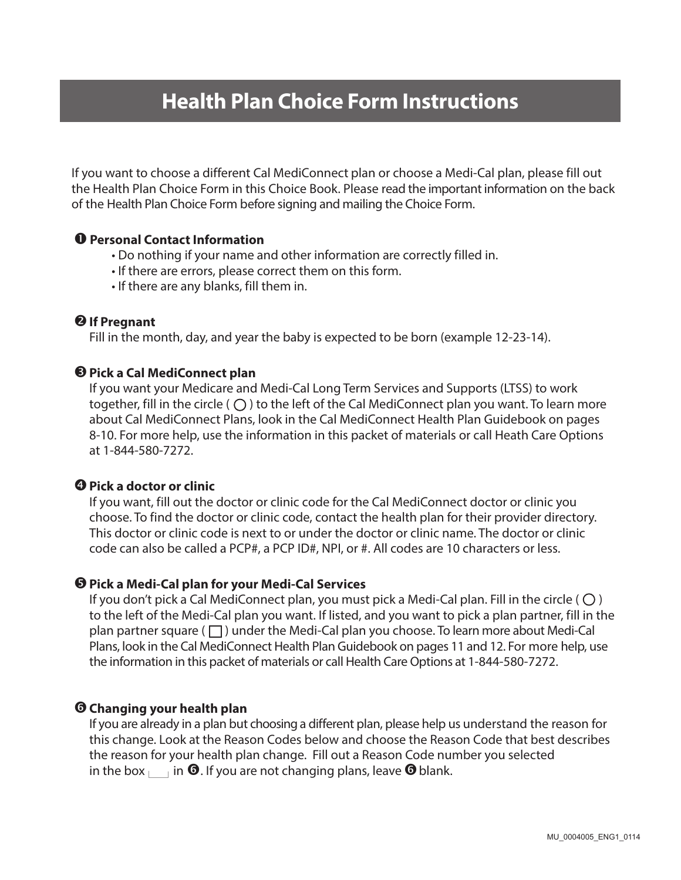# **Health Plan Choice Form Instructions**

If you want to choose a different Cal MediConnect plan or choose a Medi-Cal plan, please fill out the Health Plan Choice Form in this Choice Book. Please read the important information on the back of the Health Plan Choice Form before signing and mailing the Choice Form.

## **Personal Contact Information**

- Do nothing if your name and other information are correctly filled in.
- If there are errors, please correct them on this form.
- If there are any blanks, fill them in.

#### **If Pregnant**

Fill in the month, day, and year the baby is expected to be born (example 12-23-14).

#### **Pick a Cal MediConnect plan**

If you want your Medicare and Medi-Cal Long Term Services and Supports (LTSS) to work together, fill in the circle ( $\bigcirc$ ) to the left of the Cal MediConnect plan you want. To learn more about Cal MediConnect Plans, look in the Cal MediConnect Health Plan Guidebook on pages 8-10. For more help, use the information in this packet of materials or call Heath Care Options at 1-844-580-7272.

#### **Pick a doctor or clinic**

If you want, fill out the doctor or clinic code for the Cal MediConnect doctor or clinic you choose. To find the doctor or clinic code, contact the health plan for their provider directory. This doctor or clinic code is next to or under the doctor or clinic name. The doctor or clinic code can also be called a PCP#, a PCP ID#, NPI, or #. All codes are 10 characters or less.

#### **Pick a Medi-Cal plan for your Medi-Cal Services**

If you don't pick a Cal MediConnect plan, you must pick a Medi-Cal plan. Fill in the circle ( $\bigcirc$ ) to the left of the Medi-Cal plan you want. If listed, and you want to pick a plan partner, fill in the plan partner square  $(\Box)$  under the Medi-Cal plan you choose. To learn more about Medi-Cal Plans, look in the Cal MediConnect Health Plan Guidebook on pages 11 and 12. For more help, use the information in this packet of materials or call Health Care Options at 1-844-580-7272.

## **Changing your health plan**

If you are already in a plan but choosing a different plan, please help us understand the reason for this change. Look at the Reason Codes below and choose the Reason Code that best describes the reason for your health plan change. Fill out a Reason Code number you selected in the box  $\Box$  in  $\Theta$ . If you are not changing plans, leave  $\Theta$  blank.